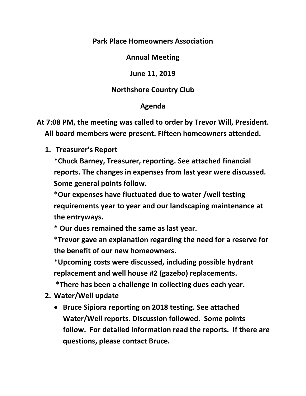## **Park Place Homeowners Association**

**Annual Meeting**

**June 11, 2019**

## **Northshore Country Club**

## **Agenda**

**At 7:08 PM, the meeting was called to order by Trevor Will, President. All board members were present. Fifteen homeowners attended.**

**1. Treasurer's Report**

**\*Chuck Barney, Treasurer, reporting. See attached financial reports. The changes in expenses from last year were discussed. Some general points follow.**

**\*Our expenses have fluctuated due to water /well testing requirements year to year and our landscaping maintenance at the entryways.** 

**\* Our dues remained the same as last year.** 

**\*Trevor gave an explanation regarding the need for a reserve for the benefit of our new homeowners.** 

**\*Upcoming costs were discussed, including possible hydrant replacement and well house #2 (gazebo) replacements.**

**\*There has been a challenge in collecting dues each year.** 

- **2. Water/Well update**
	- **Bruce Sipiora reporting on 2018 testing. See attached Water/Well reports. Discussion followed. Some points follow. For detailed information read the reports. If there are questions, please contact Bruce.**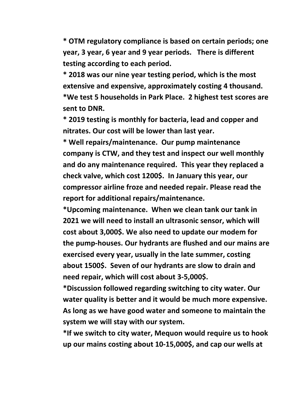**\* OTM regulatory compliance is based on certain periods; one year, 3 year, 6 year and 9 year periods. There is different testing according to each period.** 

**\* 2018 was our nine year testing period, which is the most extensive and expensive, approximately costing 4 thousand. \*We test 5 households in Park Place. 2 highest test scores are sent to DNR.**

**\* 2019 testing is monthly for bacteria, lead and copper and nitrates. Our cost will be lower than last year.**

**\* Well repairs/maintenance. Our pump maintenance company is CTW, and they test and inspect our well monthly and do any maintenance required. This year they replaced a check valve, which cost 1200\$. In January this year, our compressor airline froze and needed repair. Please read the report for additional repairs/maintenance.**

**\*Upcoming maintenance. When we clean tank our tank in 2021 we will need to install an ultrasonic sensor, which will cost about 3,000\$. We also need to update our modem for the pump-houses. Our hydrants are flushed and our mains are exercised every year, usually in the late summer, costing about 1500\$. Seven of our hydrants are slow to drain and need repair, which will cost about 3-5,000\$.** 

**\*Discussion followed regarding switching to city water. Our water quality is better and it would be much more expensive. As long as we have good water and someone to maintain the system we will stay with our system.** 

**\*If we switch to city water, Mequon would require us to hook up our mains costing about 10-15,000\$, and cap our wells at**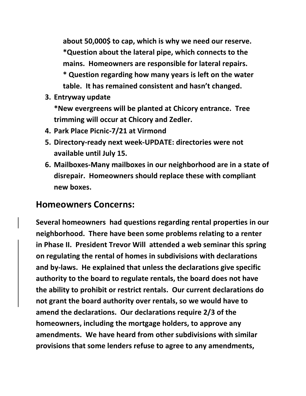**about 50,000\$ to cap, which is why we need our reserve. \*Question about the lateral pipe, which connects to the mains. Homeowners are responsible for lateral repairs. \* Question regarding how many years is left on the water table. It has remained consistent and hasn't changed.**

**3. Entryway update**

**\*New evergreens will be planted at Chicory entrance. Tree trimming will occur at Chicory and Zedler.**

- **4. Park Place Picnic-7/21 at Virmond**
- **5. Directory-ready next week-UPDATE: directories were not available until July 15.**
- **6. Mailboxes-Many mailboxes in our neighborhood are in a state of disrepair. Homeowners should replace these with compliant new boxes.**

## **Homeowners Concerns:**

**Several homeowners had questions regarding rental properties in our neighborhood. There have been some problems relating to a renter in Phase II. President Trevor Will attended a web seminar this spring on regulating the rental of homes in subdivisions with declarations and by-laws. He explained that unless the declarations give specific authority to the board to regulate rentals, the board does not have the ability to prohibit or restrict rentals. Our current declarations do not grant the board authority over rentals, so we would have to amend the declarations. Our declarations require 2/3 of the homeowners, including the mortgage holders, to approve any amendments. We have heard from other subdivisions with similar provisions that some lenders refuse to agree to any amendments,**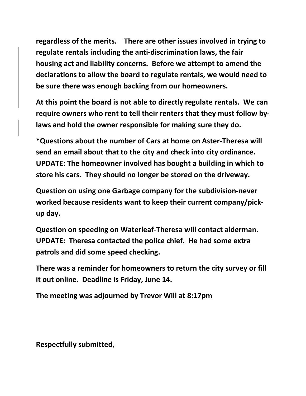**regardless of the merits. There are other issues involved in trying to regulate rentals including the anti-discrimination laws, the fair housing act and liability concerns. Before we attempt to amend the declarations to allow the board to regulate rentals, we would need to be sure there was enough backing from our homeowners.** 

**At this point the board is not able to directly regulate rentals. We can require owners who rent to tell their renters that they must follow bylaws and hold the owner responsible for making sure they do.** 

**\*Questions about the number of Cars at home on Aster-Theresa will send an email about that to the city and check into city ordinance. UPDATE: The homeowner involved has bought a building in which to store his cars. They should no longer be stored on the driveway.**

**Question on using one Garbage company for the subdivision-never worked because residents want to keep their current company/pickup day.** 

**Question on speeding on Waterleaf-Theresa will contact alderman. UPDATE: Theresa contacted the police chief. He had some extra patrols and did some speed checking.** 

**There was a reminder for homeowners to return the city survey or fill it out online. Deadline is Friday, June 14.**

**The meeting was adjourned by Trevor Will at 8:17pm**

**Respectfully submitted,**